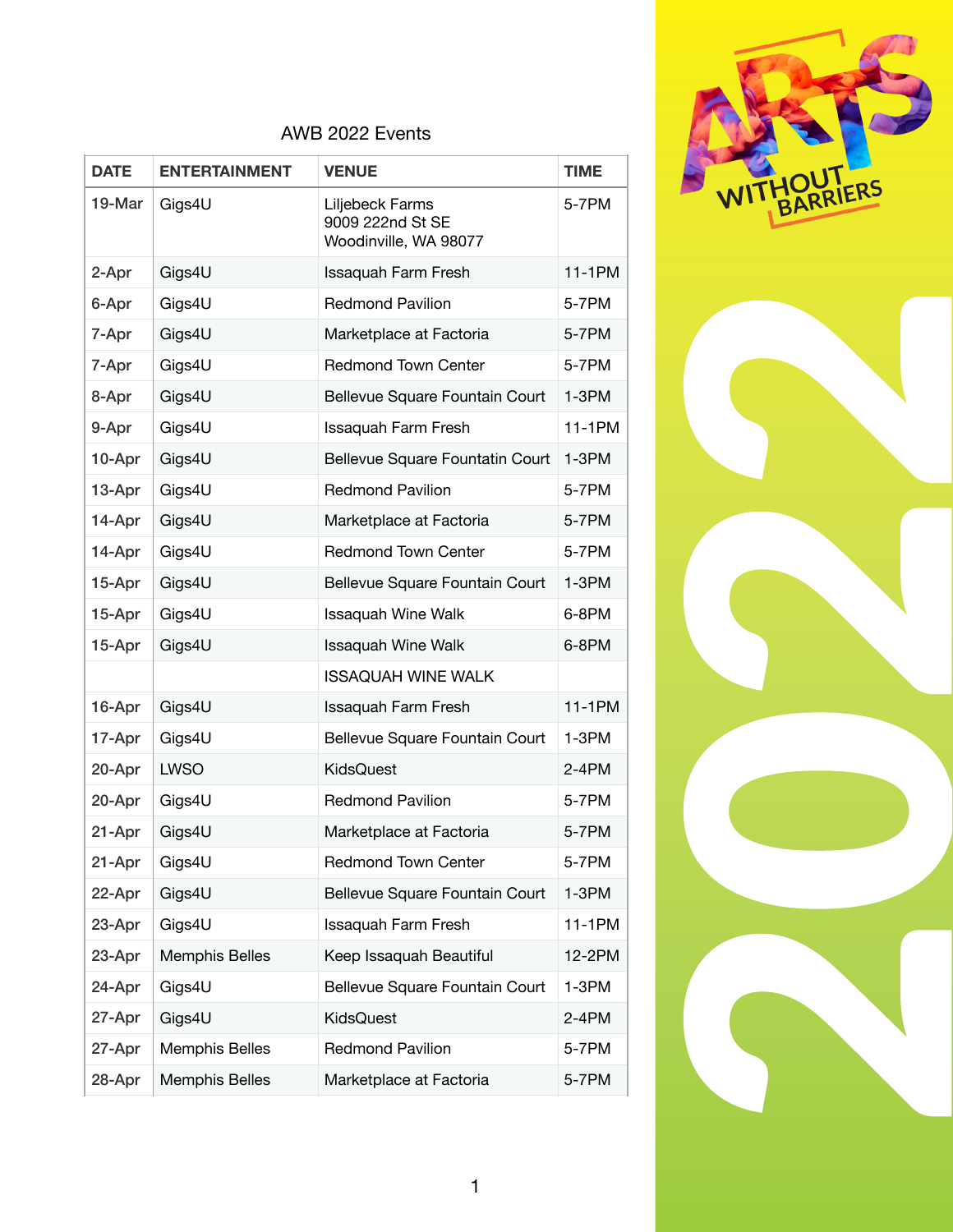

| <b>DATE</b> | <b>ENTERTAINMENT</b>  | <b>VENUE</b>                                                 | <b>TIME</b> |
|-------------|-----------------------|--------------------------------------------------------------|-------------|
| 19-Mar      | Gigs4U                | Liljebeck Farms<br>9009 222nd St SE<br>Woodinville, WA 98077 | 5-7PM       |
| 2-Apr       | Gigs4U                | <b>Issaquah Farm Fresh</b>                                   | 11-1PM      |
| 6-Apr       | Gigs4U                | <b>Redmond Pavilion</b>                                      | 5-7PM       |
| 7-Apr       | Gigs4U                | Marketplace at Factoria                                      | 5-7PM       |
| 7-Apr       | Gigs4U                | <b>Redmond Town Center</b>                                   | 5-7PM       |
| 8-Apr       | Gigs4U                | Bellevue Square Fountain Court                               | $1-3PM$     |
| 9-Apr       | Gigs4U                | <b>Issaquah Farm Fresh</b>                                   | 11-1PM      |
| 10-Apr      | Gigs4U                | Bellevue Square Fountatin Court                              | $1-3PM$     |
| 13-Apr      | Gigs4U                | <b>Redmond Pavilion</b>                                      | 5-7PM       |
| 14-Apr      | Gigs4U                | Marketplace at Factoria                                      | 5-7PM       |
| 14-Apr      | Gigs4U                | <b>Redmond Town Center</b>                                   | 5-7PM       |
| 15-Apr      | Gigs4U                | Bellevue Square Fountain Court                               | $1-3PM$     |
| 15-Apr      | Gigs4U                | Issaquah Wine Walk                                           | 6-8PM       |
| 15-Apr      | Gigs4U                | <b>Issaquah Wine Walk</b>                                    | 6-8PM       |
|             |                       | <b>ISSAQUAH WINE WALK</b>                                    |             |
| 16-Apr      | Gigs4U                | <b>Issaquah Farm Fresh</b>                                   | 11-1PM      |
| 17-Apr      | Gigs4U                | Bellevue Square Fountain Court                               | $1-3PM$     |
| 20-Apr      | <b>LWSO</b>           | KidsQuest                                                    | $2 - 4 PM$  |
| 20-Apr      | Gigs4U                | <b>Redmond Pavilion</b>                                      | 5-7PM       |
| 21-Apr      | Gigs4U                | Marketplace at Factoria                                      | 5-7PM       |
| 21-Apr      | Gigs4U                | <b>Redmond Town Center</b>                                   | 5-7PM       |
| 22-Apr      | Gigs4U                | Bellevue Square Fountain Court                               | $1-3PM$     |
| 23-Apr      | Gigs4U                | Issaquah Farm Fresh                                          | 11-1PM      |
| 23-Apr      | <b>Memphis Belles</b> | Keep Issaquah Beautiful                                      | 12-2PM      |
| 24-Apr      | Gigs4U                | Bellevue Square Fountain Court                               | $1-3PM$     |
| 27-Apr      | Gigs4U                | KidsQuest                                                    | 2-4PM       |
| 27-Apr      | Memphis Belles        | <b>Redmond Pavilion</b>                                      | 5-7PM       |
| 28-Apr      | Memphis Belles        | Marketplace at Factoria                                      | 5-7PM       |



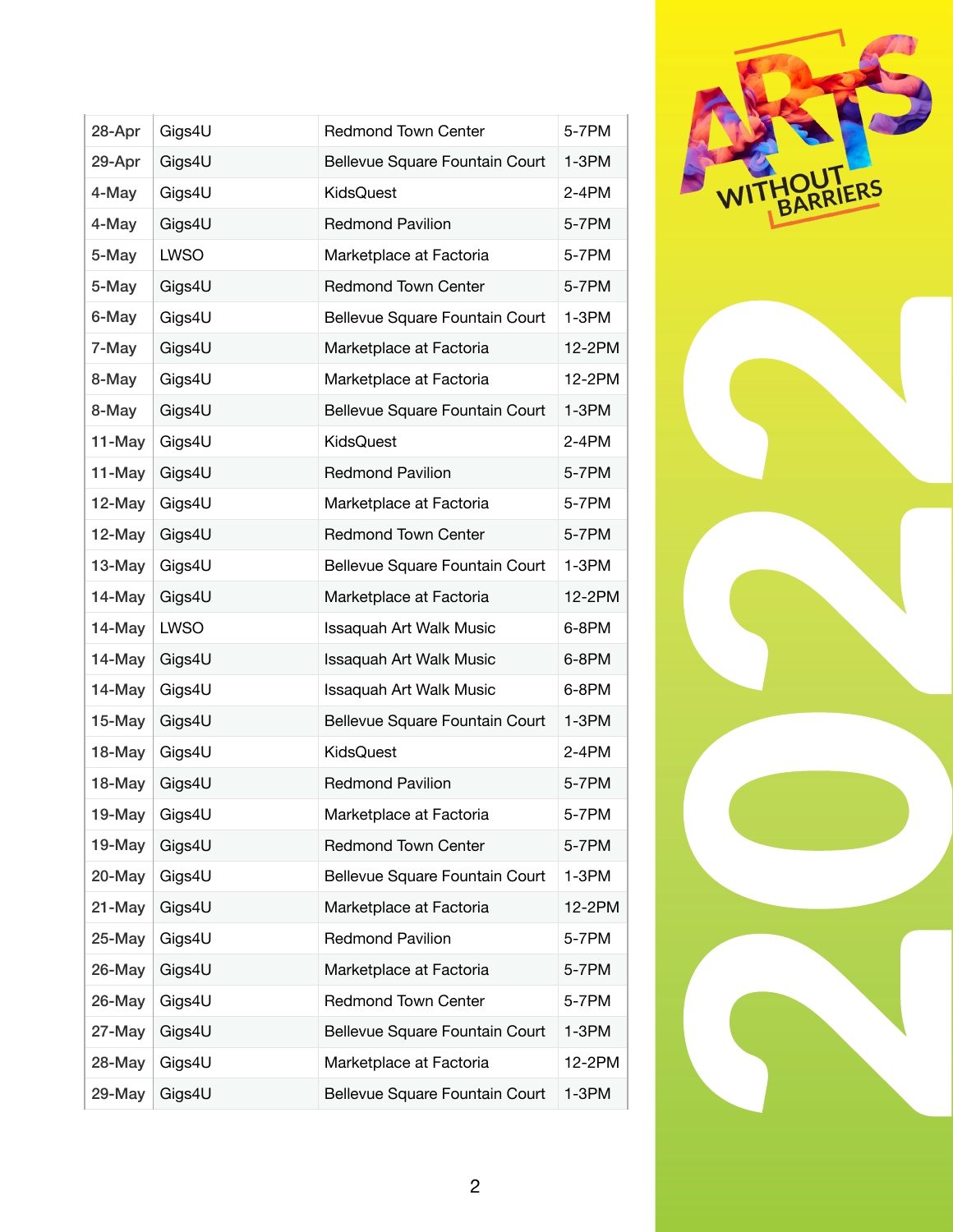| 28-Apr    | Gigs4U      | <b>Redmond Town Center</b>     | 5-7PM   |
|-----------|-------------|--------------------------------|---------|
| 29-Apr    | Gigs4U      | Bellevue Square Fountain Court | $1-3PM$ |
| 4-May     | Gigs4U      | KidsQuest                      | 2-4PM   |
| 4-May     | Gigs4U      | <b>Redmond Pavilion</b>        | 5-7PM   |
| 5-May     | <b>LWSO</b> | Marketplace at Factoria        | 5-7PM   |
| 5-May     | Gigs4U      | <b>Redmond Town Center</b>     | 5-7PM   |
| 6-May     | Gigs4U      | Bellevue Square Fountain Court | $1-3PM$ |
| 7-May     | Gigs4U      | Marketplace at Factoria        | 12-2PM  |
| 8-May     | Gigs4U      | Marketplace at Factoria        | 12-2PM  |
| 8-May     | Gigs4U      | Bellevue Square Fountain Court | $1-3PM$ |
| 11-May    | Gigs4U      | KidsQuest                      | $2-4PM$ |
| 11-May    | Gigs4U      | <b>Redmond Pavilion</b>        | 5-7PM   |
| 12-May    | Gigs4U      | Marketplace at Factoria        | 5-7PM   |
| 12-May    | Gigs4U      | <b>Redmond Town Center</b>     | 5-7PM   |
| 13-May    | Gigs4U      | Bellevue Square Fountain Court | $1-3PM$ |
| $14$ -May | Gigs4U      | Marketplace at Factoria        | 12-2PM  |
| 14-May    | LWSO        | Issaquah Art Walk Music        | 6-8PM   |
| 14-May    | Gigs4U      | Issaquah Art Walk Music        | 6-8PM   |
| 14-May    | Gigs4U      | Issaquah Art Walk Music        | 6-8PM   |
| $15-May$  | Gigs4U      | Bellevue Square Fountain Court | $1-3PM$ |
| 18-May    | Gigs4U      | KidsQuest                      | 2-4PM   |
| 18-May    | Gigs4U      | <b>Redmond Pavilion</b>        | 5-7PM   |
| 19-May    | Gigs4U      | Marketplace at Factoria        | 5-7PM   |
| 19-May    | Gigs4U      | <b>Redmond Town Center</b>     | 5-7PM   |
| 20-May    | Gigs4U      | Bellevue Square Fountain Court | $1-3PM$ |
| 21-May    | Gigs4U      | Marketplace at Factoria        | 12-2PM  |
| 25-May    | Gigs4U      | <b>Redmond Pavilion</b>        | 5-7PM   |
| 26-May    | Gigs4U      | Marketplace at Factoria        | 5-7PM   |
| 26-May    | Gigs4U      | <b>Redmond Town Center</b>     | 5-7PM   |
| 27-May    | Gigs4U      | Bellevue Square Fountain Court | $1-3PM$ |
| 28-May    | Gigs4U      | Marketplace at Factoria        | 12-2PM  |
| 29-May    | Gigs4U      | Bellevue Square Fountain Court | $1-3PM$ |



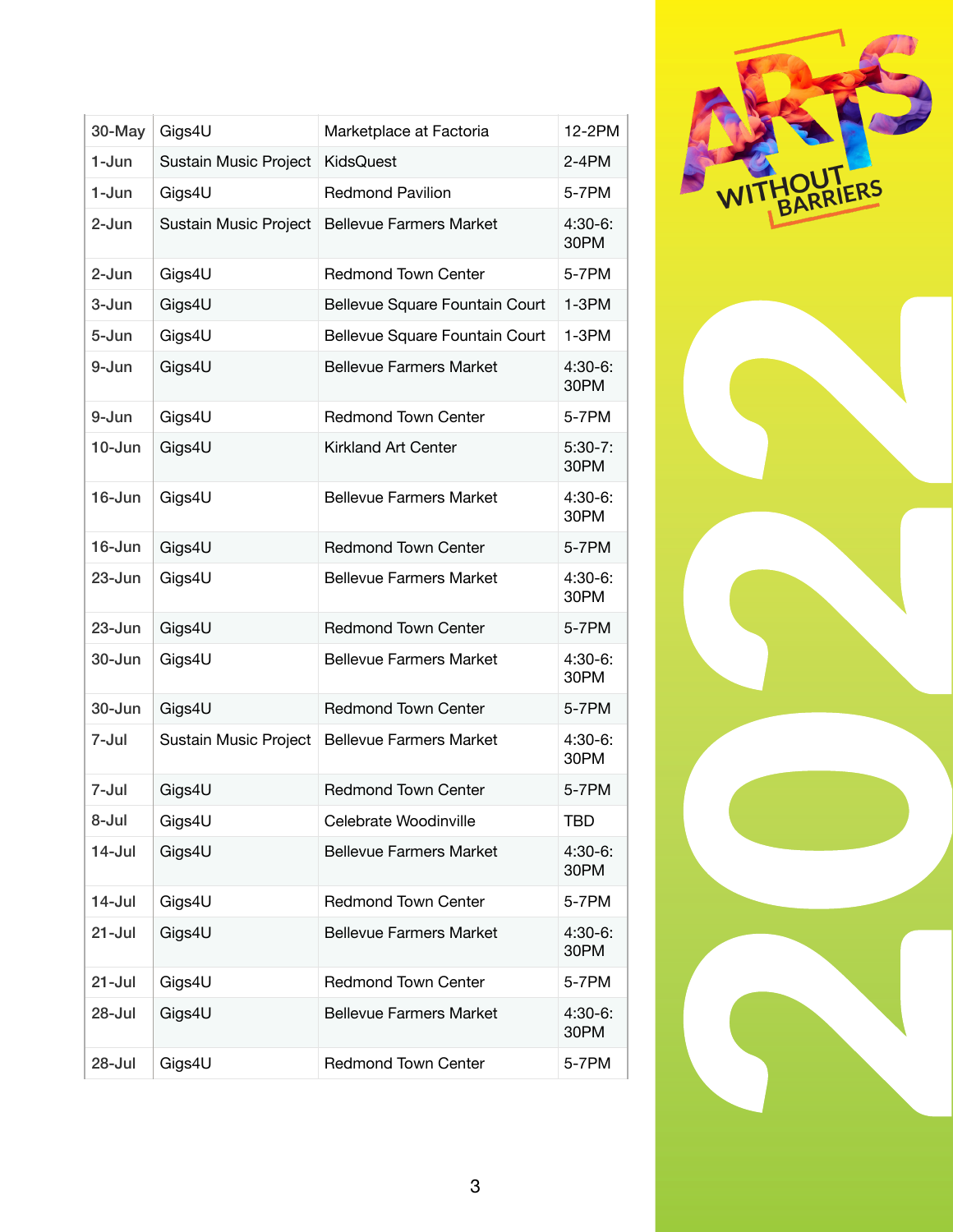| 30-May     | Gigs4U                | Marketplace at Factoria        | 12-2PM            |
|------------|-----------------------|--------------------------------|-------------------|
| 1-Jun      | Sustain Music Project | KidsQuest                      | $2 - 4$ PM        |
| 1-Jun      | Gigs4U                | <b>Redmond Pavilion</b>        | 5-7PM             |
| 2-Jun      | Sustain Music Project | <b>Bellevue Farmers Market</b> | $4:30-6:$<br>30PM |
| 2-Jun      | Gigs4U                | <b>Redmond Town Center</b>     | 5-7PM             |
| 3-Jun      | Gigs4U                | Bellevue Square Fountain Court | $1-3PM$           |
| 5-Jun      | Gigs4U                | Bellevue Square Fountain Court | $1-3PM$           |
| 9-Jun      | Gigs4U                | <b>Bellevue Farmers Market</b> | $4:30-6:$<br>30PM |
| 9-Jun      | Gigs4U                | <b>Redmond Town Center</b>     | 5-7PM             |
| $10 - Jun$ | Gigs4U                | Kirkland Art Center            | $5:30-7:$<br>30PM |
| $16$ -Jun  | Gigs4U                | <b>Bellevue Farmers Market</b> | $4:30-6:$<br>30PM |
| 16-Jun     | Gigs4U                | <b>Redmond Town Center</b>     | 5-7PM             |
| $23 - Jun$ | Gigs4U                | <b>Bellevue Farmers Market</b> | $4:30-6:$<br>30PM |
| $23 - Jun$ | Gigs4U                | <b>Redmond Town Center</b>     | 5-7PM             |
| $30 - Jun$ | Gigs4U                | <b>Bellevue Farmers Market</b> | $4:30-6:$<br>30PM |
| $30 - Jun$ | Gigs4U                | <b>Redmond Town Center</b>     | 5-7PM             |
| 7-Jul      | Sustain Music Project | <b>Bellevue Farmers Market</b> | $4:30-6:$<br>30PM |
| 7-Jul      | Gigs4U                | <b>Redmond Town Center</b>     | 5-7PM             |
| 8-Jul      | Gigs4U                | Celebrate Woodinville          | <b>TBD</b>        |
| $14$ -Jul  | Gigs4U                | <b>Bellevue Farmers Market</b> | $4:30-6:$<br>30PM |
| $14$ -Jul  | Gigs4U                | <b>Redmond Town Center</b>     | 5-7PM             |
| $21 -$ Jul | Gigs4U                | <b>Bellevue Farmers Market</b> | $4:30-6:$<br>30PM |
| $21 -$ Jul | Gigs4U                | <b>Redmond Town Center</b>     | 5-7PM             |
| 28-Jul     | Gigs4U                | <b>Bellevue Farmers Market</b> | $4:30-6:$<br>30PM |
| 28-Jul     | Gigs4U                | <b>Redmond Town Center</b>     | 5-7PM             |